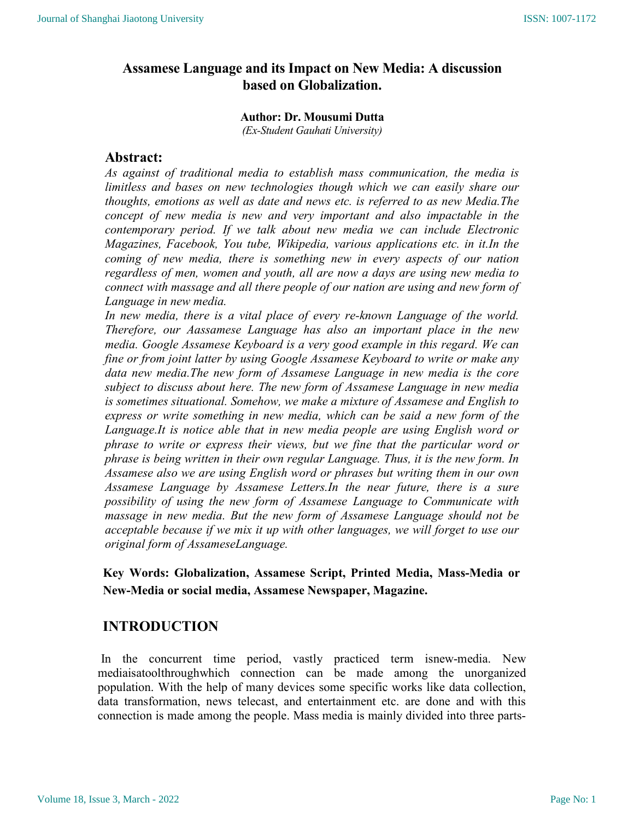# Assamese Language and its Impact on New Media: A discussion based on Globalization.

### Author: Dr. Mousumi Dutta

(Ex-Student Gauhati University)

# Abstract:

As against of traditional media to establish mass communication, the media is limitless and bases on new technologies though which we can easily share our thoughts, emotions as well as date and news etc. is referred to as new Media.The concept of new media is new and very important and also impactable in the contemporary period. If we talk about new media we can include Electronic Magazines, Facebook, You tube, Wikipedia, various applications etc. in it.In the coming of new media, there is something new in every aspects of our nation regardless of men, women and youth, all are now a days are using new media to connect with massage and all there people of our nation are using and new form of Language in new media.

In new media, there is a vital place of every re-known Language of the world. Therefore, our Aassamese Language has also an important place in the new media. Google Assamese Keyboard is a very good example in this regard. We can fine or from joint latter by using Google Assamese Keyboard to write or make any data new media.The new form of Assamese Language in new media is the core subject to discuss about here. The new form of Assamese Language in new media is sometimes situational. Somehow, we make a mixture of Assamese and English to express or write something in new media, which can be said a new form of the Language.It is notice able that in new media people are using English word or phrase to write or express their views, but we fine that the particular word or phrase is being written in their own regular Language. Thus, it is the new form. In Assamese also we are using English word or phrases but writing them in our own Assamese Language by Assamese Letters.In the near future, there is a sure possibility of using the new form of Assamese Language to Communicate with massage in new media. But the new form of Assamese Language should not be acceptable because if we mix it up with other languages, we will forget to use our original form of AssameseLanguage.

Key Words: Globalization, Assamese Script, Printed Media, Mass-Media or New-Media or social media, Assamese Newspaper, Magazine.

# INTRODUCTION

 In the concurrent time period, vastly practiced term isnew-media. New mediaisatoolthroughwhich connection can be made among the unorganized population. With the help of many devices some specific works like data collection, data transformation, news telecast, and entertainment etc. are done and with this connection is made among the people. Mass media is mainly divided into three parts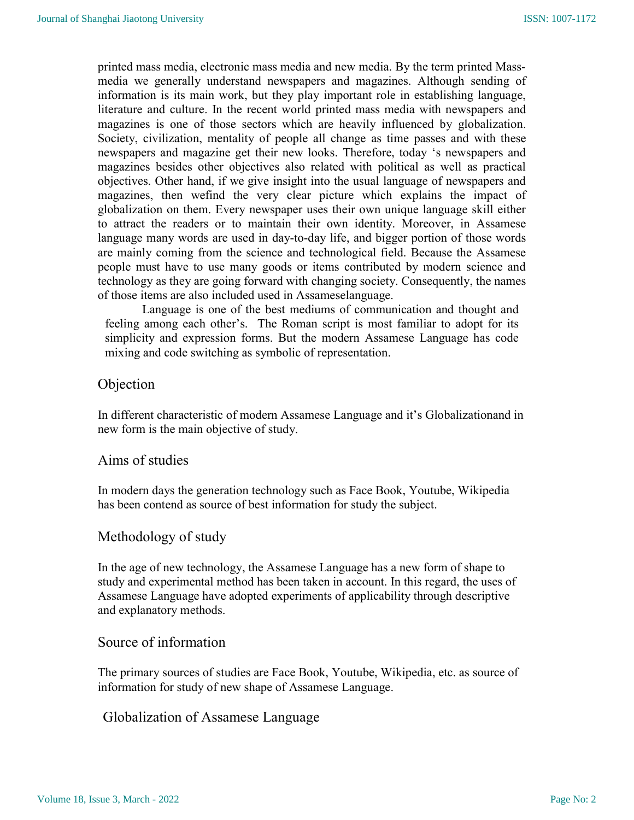printed mass media, electronic mass media and new media. By the term printed Massmedia we generally understand newspapers and magazines. Although sending of information is its main work, but they play important role in establishing language, literature and culture. In the recent world printed mass media with newspapers and magazines is one of those sectors which are heavily influenced by globalization. Society, civilization, mentality of people all change as time passes and with these newspapers and magazine get their new looks. Therefore, today 's newspapers and magazines besides other objectives also related with political as well as practical objectives. Other hand, if we give insight into the usual language of newspapers and magazines, then wefind the very clear picture which explains the impact of globalization on them. Every newspaper uses their own unique language skill either to attract the readers or to maintain their own identity. Moreover, in Assamese language many words are used in day-to-day life, and bigger portion of those words are mainly coming from the science and technological field. Because the Assamese people must have to use many goods or items contributed by modern science and technology as they are going forward with changing society. Consequently, the names of those items are also included used in Assameselanguage.

Language is one of the best mediums of communication and thought and feeling among each other's. The Roman script is most familiar to adopt for its simplicity and expression forms. But the modern Assamese Language has code mixing and code switching as symbolic of representation.

### Objection

In different characteristic of modern Assamese Language and it's Globalizationand in new form is the main objective of study.

### Aims of studies

In modern days the generation technology such as Face Book, Youtube, Wikipedia has been contend as source of best information for study the subject.

# Methodology of study

In the age of new technology, the Assamese Language has a new form of shape to study and experimental method has been taken in account. In this regard, the uses of Assamese Language have adopted experiments of applicability through descriptive and explanatory methods.

# Source of information

The primary sources of studies are Face Book, Youtube, Wikipedia, etc. as source of information for study of new shape of Assamese Language.

# Globalization of Assamese Language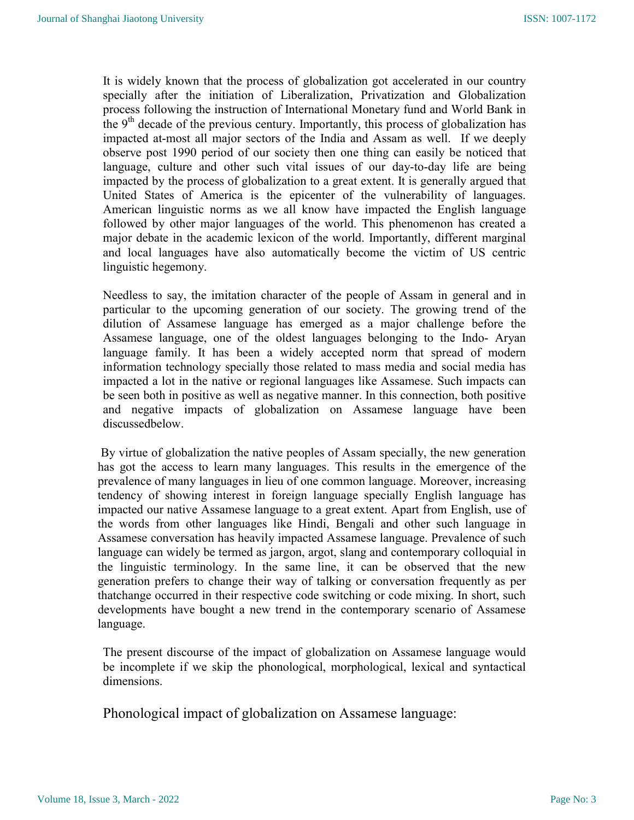It is widely known that the process of globalization got accelerated in our country specially after the initiation of Liberalization, Privatization and Globalization process following the instruction of International Monetary fund and World Bank in the  $9<sup>th</sup>$  decade of the previous century. Importantly, this process of globalization has impacted at-most all major sectors of the India and Assam as well. If we deeply observe post 1990 period of our society then one thing can easily be noticed that language, culture and other such vital issues of our day-to-day life are being impacted by the process of globalization to a great extent. It is generally argued that United States of America is the epicenter of the vulnerability of languages. American linguistic norms as we all know have impacted the English language followed by other major languages of the world. This phenomenon has created a major debate in the academic lexicon of the world. Importantly, different marginal and local languages have also automatically become the victim of US centric linguistic hegemony.

Needless to say, the imitation character of the people of Assam in general and in particular to the upcoming generation of our society. The growing trend of the dilution of Assamese language has emerged as a major challenge before the Assamese language, one of the oldest languages belonging to the Indo- Aryan language family. It has been a widely accepted norm that spread of modern information technology specially those related to mass media and social media has impacted a lot in the native or regional languages like Assamese. Such impacts can be seen both in positive as well as negative manner. In this connection, both positive and negative impacts of globalization on Assamese language have been discussedbelow.

 By virtue of globalization the native peoples of Assam specially, the new generation has got the access to learn many languages. This results in the emergence of the prevalence of many languages in lieu of one common language. Moreover, increasing tendency of showing interest in foreign language specially English language has impacted our native Assamese language to a great extent. Apart from English, use of the words from other languages like Hindi, Bengali and other such language in Assamese conversation has heavily impacted Assamese language. Prevalence of such language can widely be termed as jargon, argot, slang and contemporary colloquial in the linguistic terminology. In the same line, it can be observed that the new generation prefers to change their way of talking or conversation frequently as per thatchange occurred in their respective code switching or code mixing. In short, such developments have bought a new trend in the contemporary scenario of Assamese language.

The present discourse of the impact of globalization on Assamese language would be incomplete if we skip the phonological, morphological, lexical and syntactical dimensions.

Phonological impact of globalization on Assamese language: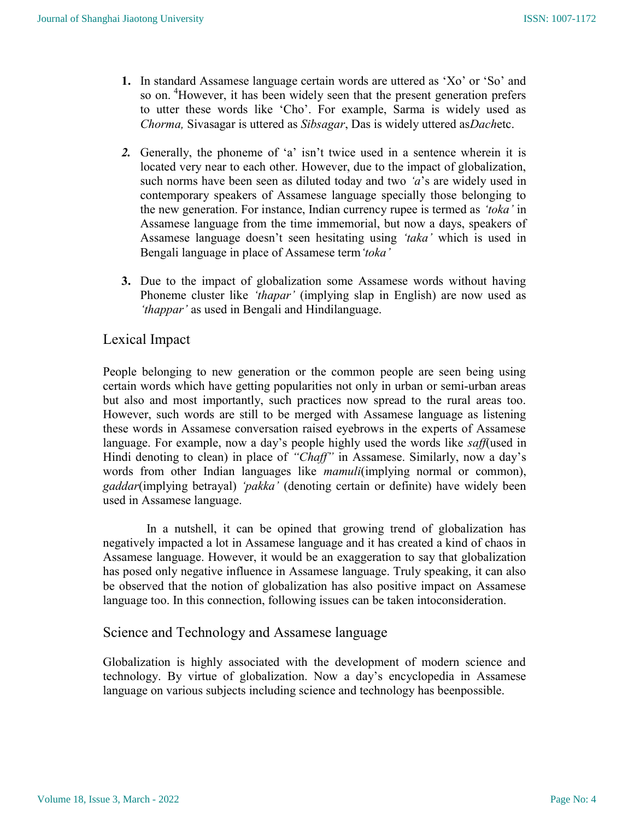- 1. In standard Assamese language certain words are uttered as 'Xo' or 'So' and so on.<sup>4</sup>However, it has been widely seen that the present generation prefers to utter these words like 'Cho'. For example, Sarma is widely used as Chorma, Sivasagar is uttered as Sibsagar, Das is widely uttered asDachetc.
- 2. Generally, the phoneme of 'a' isn't twice used in a sentence wherein it is located very near to each other. However, due to the impact of globalization, such norms have been seen as diluted today and two 'a's are widely used in contemporary speakers of Assamese language specially those belonging to the new generation. For instance, Indian currency rupee is termed as 'toka' in Assamese language from the time immemorial, but now a days, speakers of Assamese language doesn't seen hesitating using 'taka' which is used in Bengali language in place of Assamese term 'toka'
- 3. Due to the impact of globalization some Assamese words without having Phoneme cluster like 'thapar' (implying slap in English) are now used as 'thappar' as used in Bengali and Hindilanguage.

# Lexical Impact

People belonging to new generation or the common people are seen being using certain words which have getting popularities not only in urban or semi-urban areas but also and most importantly, such practices now spread to the rural areas too. However, such words are still to be merged with Assamese language as listening these words in Assamese conversation raised eyebrows in the experts of Assamese language. For example, now a day's people highly used the words like saff(used in Hindi denoting to clean) in place of "Chaff" in Assamese. Similarly, now a day's words from other Indian languages like *mamuli*(implying normal or common), gaddar(implying betrayal) 'pakka' (denoting certain or definite) have widely been used in Assamese language.

 In a nutshell, it can be opined that growing trend of globalization has negatively impacted a lot in Assamese language and it has created a kind of chaos in Assamese language. However, it would be an exaggeration to say that globalization has posed only negative influence in Assamese language. Truly speaking, it can also be observed that the notion of globalization has also positive impact on Assamese language too. In this connection, following issues can be taken intoconsideration.

# Science and Technology and Assamese language

Globalization is highly associated with the development of modern science and technology. By virtue of globalization. Now a day's encyclopedia in Assamese language on various subjects including science and technology has beenpossible.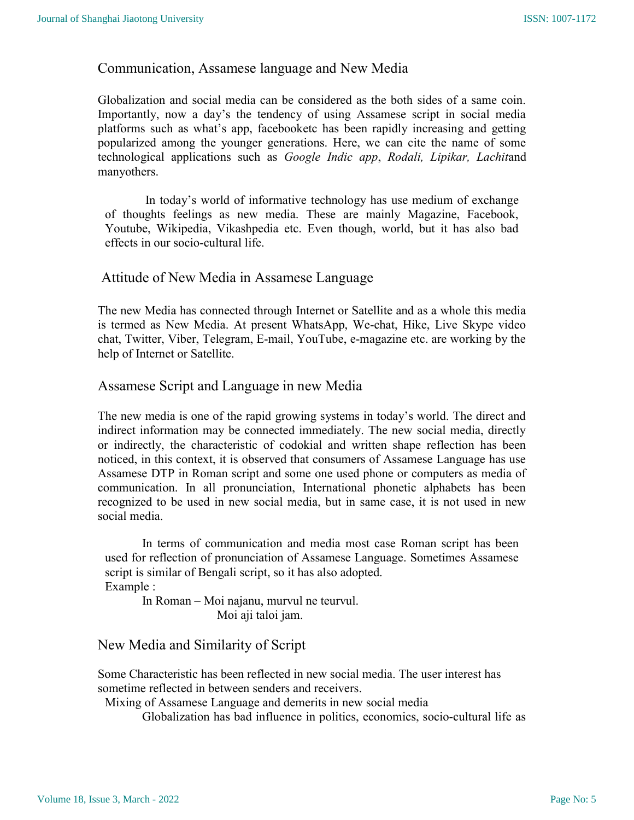### Communication, Assamese language and New Media

Globalization and social media can be considered as the both sides of a same coin. Importantly, now a day's the tendency of using Assamese script in social media platforms such as what's app, facebooketc has been rapidly increasing and getting popularized among the younger generations. Here, we can cite the name of some technological applications such as Google Indic app, Rodali, Lipikar, Lachitand manyothers.

 In today's world of informative technology has use medium of exchange of thoughts feelings as new media. These are mainly Magazine, Facebook, Youtube, Wikipedia, Vikashpedia etc. Even though, world, but it has also bad effects in our socio-cultural life.

### Attitude of New Media in Assamese Language

The new Media has connected through Internet or Satellite and as a whole this media is termed as New Media. At present WhatsApp, We-chat, Hike, Live Skype video chat, Twitter, Viber, Telegram, E-mail, YouTube, e-magazine etc. are working by the help of Internet or Satellite.

### Assamese Script and Language in new Media

The new media is one of the rapid growing systems in today's world. The direct and indirect information may be connected immediately. The new social media, directly or indirectly, the characteristic of codokial and written shape reflection has been noticed, in this context, it is observed that consumers of Assamese Language has use Assamese DTP in Roman script and some one used phone or computers as media of communication. In all pronunciation, International phonetic alphabets has been recognized to be used in new social media, but in same case, it is not used in new social media.

In terms of communication and media most case Roman script has been used for reflection of pronunciation of Assamese Language. Sometimes Assamese script is similar of Bengali script, so it has also adopted. Example :

In Roman – Moi najanu, murvul ne teurvul. Moi aji taloi jam.

### New Media and Similarity of Script

Some Characteristic has been reflected in new social media. The user interest has sometime reflected in between senders and receivers.

Mixing of Assamese Language and demerits in new social media

Globalization has bad influence in politics, economics, socio-cultural life as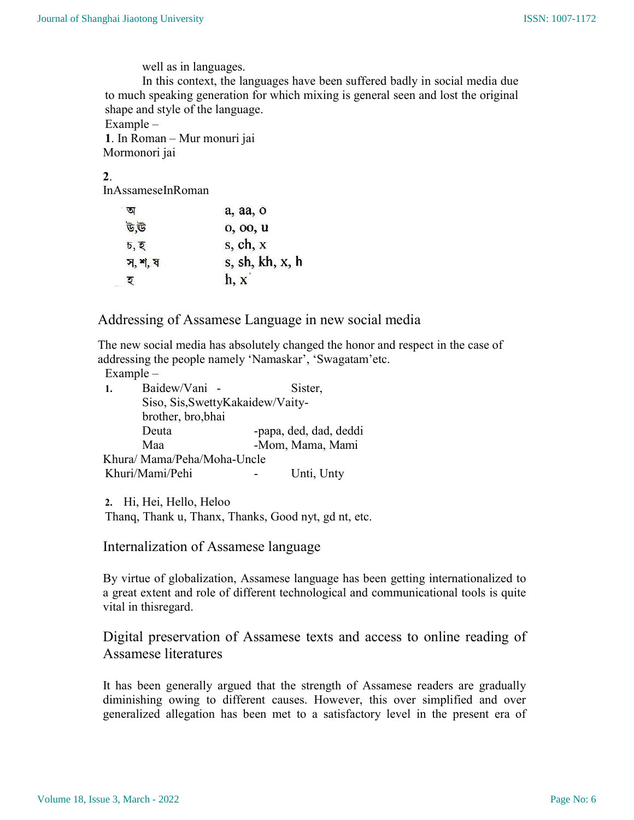well as in languages.

In this context, the languages have been suffered badly in social media due to much speaking generation for which mixing is general seen and lost the original shape and style of the language.

Example –

1. In Roman – Mur monuri jai Mormonori jai

### 2.

InAssameseInRoman

|         | a, aa, o        |  |
|---------|-----------------|--|
| ড.উ     | 0, 00, 0        |  |
| চ, হ    | s, ch, x        |  |
| স, শ, ষ | s, sh, kh, x, h |  |
| ಲ       | h, x            |  |

Addressing of Assamese Language in new social media

The new social media has absolutely changed the honor and respect in the case of addressing the people namely 'Namaskar', 'Swagatam'etc.

Example –

| $\mathbf{1}$ .             | Baidew/Vani -                     | Sister,          |                        |  |
|----------------------------|-----------------------------------|------------------|------------------------|--|
|                            | Siso, Sis, Swetty Kakaidew/Vaity- |                  |                        |  |
|                            | brother, bro, bhai                |                  |                        |  |
|                            | Deuta                             |                  | -papa, ded, dad, deddi |  |
|                            | Maa                               | -Mom, Mama, Mami |                        |  |
| Khura/Mama/Peha/Moha-Uncle |                                   |                  |                        |  |
|                            | Khuri/Mami/Pehi                   |                  | Unti, Unty             |  |

2. Hi, Hei, Hello, Heloo

Thanq, Thank u, Thanx, Thanks, Good nyt, gd nt, etc.

Internalization of Assamese language

By virtue of globalization, Assamese language has been getting internationalized to a great extent and role of different technological and communicational tools is quite vital in thisregard.

Digital preservation of Assamese texts and access to online reading of Assamese literatures

It has been generally argued that the strength of Assamese readers are gradually diminishing owing to different causes. However, this over simplified and over generalized allegation has been met to a satisfactory level in the present era of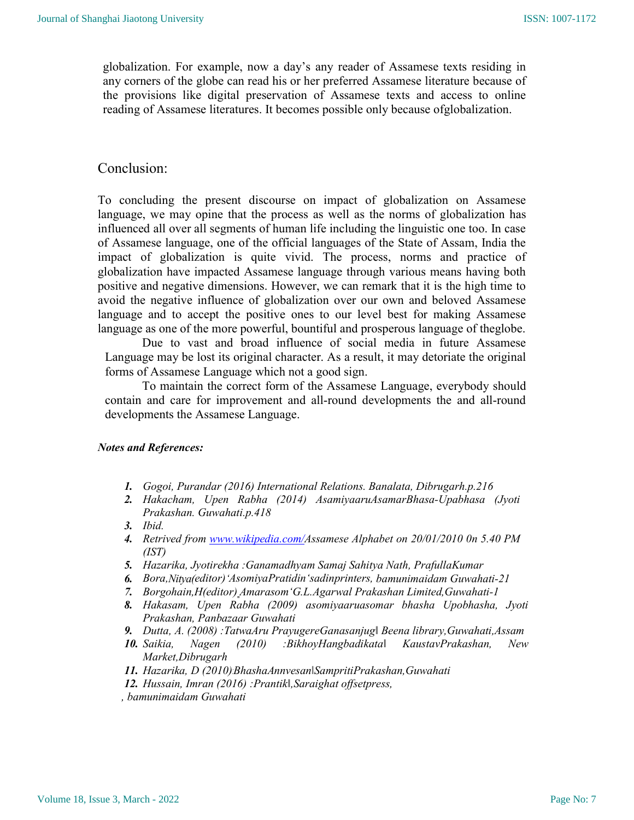globalization. For example, now a day's any reader of Assamese texts residing in any corners of the globe can read his or her preferred Assamese literature because of the provisions like digital preservation of Assamese texts and access to online reading of Assamese literatures. It becomes possible only because ofglobalization.

### Conclusion:

To concluding the present discourse on impact of globalization on Assamese language, we may opine that the process as well as the norms of globalization has influenced all over all segments of human life including the linguistic one too. In case of Assamese language, one of the official languages of the State of Assam, India the impact of globalization is quite vivid. The process, norms and practice of globalization have impacted Assamese language through various means having both positive and negative dimensions. However, we can remark that it is the high time to avoid the negative influence of globalization over our own and beloved Assamese language and to accept the positive ones to our level best for making Assamese language as one of the more powerful, bountiful and prosperous language of theglobe.

Due to vast and broad influence of social media in future Assamese Language may be lost its original character. As a result, it may detoriate the original forms of Assamese Language which not a good sign.

To maintain the correct form of the Assamese Language, everybody should contain and care for improvement and all-round developments the and all-round developments the Assamese Language.

#### Notes and References:

- 1. Gogoi, Purandar (2016) International Relations. Banalata, Dibrugarh.p.216
- 2. Hakacham, Upen Rabha (2014) AsamiyaaruAsamarBhasa-Upabhasa (Jyoti Prakashan. Guwahati.p.418
- 3. Ibid.
- 4. Retrived from www.wikipedia.com/Assamese Alphabet on 20/01/2010 0n 5.40 PM (IST)
- 5. Hazarika, Jyotirekha :Ganamadhyam Samaj Sahitya Nath, PrafullaKumar
- 6. Bora,Nitya(editor)'AsomiyaPratidin'sadinprinters, bamunimaidam Guwahati-21
- 7. Borgohain, H(editor) Amarasom 'G.L.Agarwal Prakashan Limited, Guwahati-1
- 8. Hakasam, Upen Rabha (2009) asomiyaaruasomar bhasha Upobhasha, Jyoti Prakashan, Panbazaar Guwahati
- 9. Dutta, A. (2008) :TatwaAru PrayugereGanasanjug‖ Beena library,Guwahati,Assam
- 10. Saikia, Nagen (2010) :BikhoyHangbadikata‖ KaustavPrakashan, New Market,Dibrugarh
- 11. Hazarika, D (2010):BhashaAnnvesan|SampritiPrakashan, Guwahati
- 12. Hussain, Imran (2016) :Prantik‖,Saraighat offsetpress,
- , bamunimaidam Guwahati